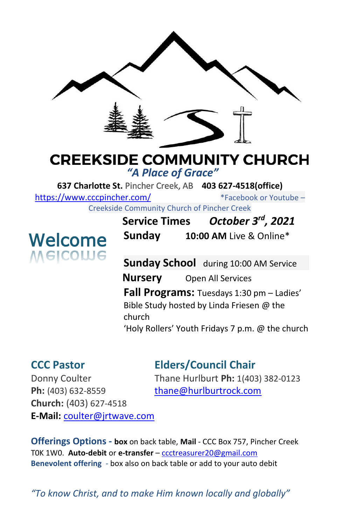

## **CREEKSIDE COMMUNITY CHURCH**

*"A Place of Grace"*

**637 Charlotte St.** Pincher Creek, AB **403 627-4518(office)**  <https://www.cccpincher.com/>\*Facebook or Youtube –

Creekside Community Church of Pincher Creek

# **Welcome**<br>Melcolue

**Service Times** *October 3rd, 2021* **Sunday 10:00 AM** Live & Online\*

**Sunday School** during 10:00 AM Service **Nursery** Open All Services **Fall Programs:** Tuesdays 1:30 pm – Ladies' Bible Study hosted by Linda Friesen @ the church 'Holy Rollers' Youth Fridays 7 p.m. @ the church

## **CCC Pastor Elders/Council Chair**

Ph: (403) 632-8559 [thane@hurlburtrock.com](mailto:thane@hurlburtrock.com) **Church:** (403) 627-4518 **E-Mail:** [coulter@jrtwave.com](mailto:coulter@jrtwave.com)

Donny Coulter Thane Hurlburt **Ph:** 1(403) 382-0123

**Offerings Options - box** on back table, **Mail** - CCC Box 757, Pincher Creek T0K 1W0. **Auto-debit** or **e-transfer** – [ccctreasurer20@gmail.com](mailto:ccctreasurer20@gmail.com) **Benevolent offering** - box also on back table or add to your auto debit

*"To know Christ, and to make Him known locally and globally"*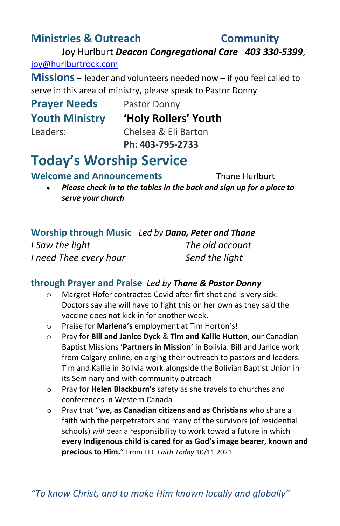### **Ministries & Outreach Community**

Joy Hurlburt *Deacon Congregational Care 403 330-5399*, [joy@hurlburtrock.com](mailto:joy@hurlburtrock.com)

**Missions** – leader and volunteers needed now – if you feel called to serve in this area of ministry, please speak to Pastor Donny

# **Prayer Needs** Pastor Donny

**Youth Ministry 'Holy Rollers' Youth**

Leaders: Chelsea & Eli Barton **Ph: 403-795-2733**

### **Today's Worship Service**

**Welcome and Announcements** Thane Hurlburt

• *Please check in to the tables in the back and sign up for a place to serve your church*

**Worship through Music** *Led by Dana, Peter and Thane I Saw the light The old account I need Thee every hour Send the light*

#### **through Prayer and Praise** *Led by Thane & Pastor Donny*

- o Margret Hofer contracted Covid after firt shot and is very sick. Doctors say she will have to fight this on her own as they said the vaccine does not kick in for another week.
- o Praise for **Marlena's** employment at Tim Horton's!
- o Pray for **Bill and Janice Dyck** & **Tim and Kallie Hutton**, our Canadian Baptist Missions '**Partners in Mission'** in Bolivia. Bill and Janice work from Calgary online, enlarging their outreach to pastors and leaders. Tim and Kallie in Bolivia work alongside the Bolivian Baptist Union in its Seminary and with community outreach
- o Pray for **Helen Blackburn's** safety as she travels to churches and conferences in Western Canada
- o Pray that "**we, as Canadian citizens and as Christians** who share a faith with the perpetrators and many of the survivors (of residential schools) *will* bear a responsibility to work towad a future in which **every Indigenous child is cared for as God's image bearer, known and precious to Him.**" From EFC *Faith Today* 10/11 2021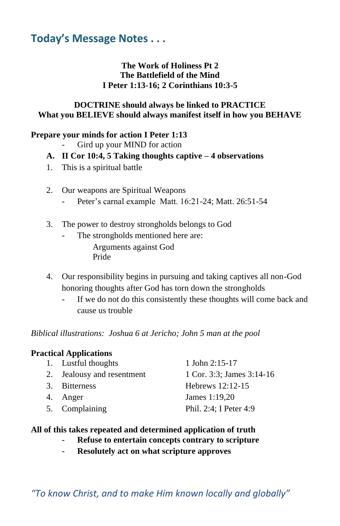### **Today's Message Notes . . .**

#### **The Work of Holiness Pt 2 The Battlefield of the Mind I Peter 1:13-16; 2 Corinthians 10:3-5**

#### **DOCTRINE should always be linked to PRACTICE What you BELIEVE should always manifest itself in how you BEHAVE**

#### **Prepare your minds for action I Peter 1:13**

- Gird up your MIND for action
- **A. II Cor 10:4, 5 Taking thoughts captive – 4 observations**
- 1. This is a spiritual battle
- 2. Our weapons are Spiritual Weapons
	- Peter's carnal example Matt. 16:21-24; Matt. 26:51-54
- 3. The power to destroy strongholds belongs to God
	- The strongholds mentioned here are: Arguments against God Pride
- 4. Our responsibility begins in pursuing and taking captives all non-God honoring thoughts after God has torn down the strongholds
	- If we do not do this consistently these thoughts will come back and cause us trouble

*Biblical illustrations: Joshua 6 at Jericho; John 5 man at the pool*

#### **Practical Applications**

| 1. Lustful thoughts        | 1 John $2:15-17$          |
|----------------------------|---------------------------|
| 2. Jealousy and resentment | 1 Cor. 3:3; James 3:14-16 |
| 3. Bitterness              | Hebrews $12:12-15$        |
| 4. Anger                   | James 1:19,20             |
| 5. Complaining             | Phil. 2:4: I Peter 4:9    |
|                            |                           |

#### **All of this takes repeated and determined application of truth**

- **Refuse to entertain concepts contrary to scripture**
- **Resolutely act on what scripture approves**

*"To know Christ, and to make Him known locally and globally"*